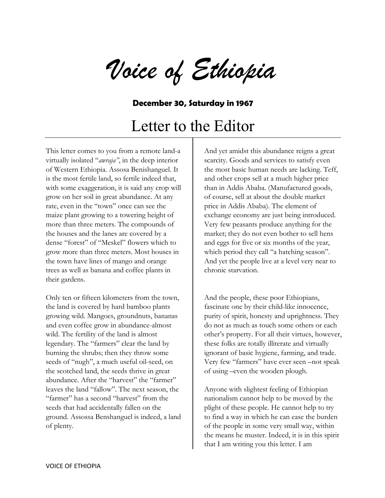*Voice of Ethiopia*

## **December 30, Saturday in 1967**

## Letter to the Editor

This letter comes to you from a remote land-a virtually isolated "*awraja"*, in the deep interior of Western Ethiopia. Assosa Benishanguel. It is the most fertile land, so fertile indeed that, with some exaggeration, it is said any crop will grow on her soil in great abundance. At any rate, even in the "town" once can see the maize plant growing to a towering height of more than three meters. The compounds of the houses and the lanes are covered by a dense "forest" of "Meskel" flowers which to grow more than three meters. Most houses in the town have lines of mango and orange trees as well as banana and coffee plants in their gardens.

Only ten or fifteen kilometers from the town, the land is covered by hard bamboo plants growing wild. Mangoes, groundnuts, bananas and even coffee grow in abundance-almost wild. The fertility of the land is almost legendary. The "farmers" clear the land by burning the shrubs; then they throw some seeds of "nugh", a much useful oil-seed, on the scotched land, the seeds thrive in great abundance. After the "harvest" the "farmer" leaves the land "fallow". The next season, the "farmer" has a second "harvest" from the seeds that had accidentally fallen on the ground. Assossa Benshanguel is indeed, a land of plenty.

And yet amidst this abundance reigns a great scarcity. Goods and services to satisfy even the most basic human needs are lacking. Teff, and other crops sell at a much higher price than in Addis Ababa. (Manufactured goods, of course, sell at about the double market price in Addis Ababa). The element of exchange economy are just being introduced. Very few peasants produce anything for the market; they do not even bother to sell hens and eggs for five or six months of the year, which period they call "a hatching season". And yet the people live at a level very near to chronic starvation.

And the people, these poor Ethiopians, fascinate one by their child-like innocence, purity of spirit, honesty and uprightness. They do not as much as touch some others or each other's property. For all their virtues, however, these folks are totally illiterate and virtually ignorant of basic hygiene, farming, and trade. Very few "farmers" have ever seen –not speak of using –even the wooden plough.

Anyone with slightest feeling of Ethiopian nationalism cannot help to be moved by the plight of these people. He cannot help to try to find a way in which he can ease the burden of the people in some very small way, within the means he muster. Indeed, it is in this spirit that I am writing you this letter. I am